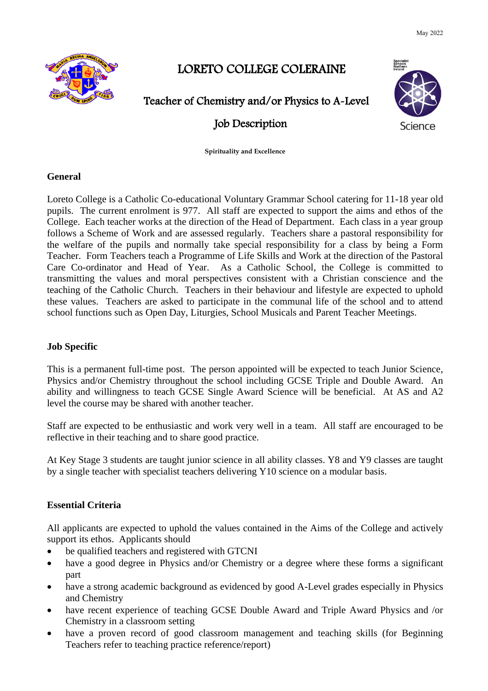May 2022



# LORETO COLLEGE COLERAINE

# Teacher of Chemistry and/or Physics to A-Level

# Job Description



**Spirituality and Excellence**

## **General**

Loreto College is a Catholic Co-educational Voluntary Grammar School catering for 11-18 year old pupils. The current enrolment is 977. All staff are expected to support the aims and ethos of the College. Each teacher works at the direction of the Head of Department. Each class in a year group follows a Scheme of Work and are assessed regularly. Teachers share a pastoral responsibility for the welfare of the pupils and normally take special responsibility for a class by being a Form Teacher. Form Teachers teach a Programme of Life Skills and Work at the direction of the Pastoral Care Co-ordinator and Head of Year. As a Catholic School, the College is committed to transmitting the values and moral perspectives consistent with a Christian conscience and the teaching of the Catholic Church. Teachers in their behaviour and lifestyle are expected to uphold these values. Teachers are asked to participate in the communal life of the school and to attend school functions such as Open Day, Liturgies, School Musicals and Parent Teacher Meetings.

## **Job Specific**

This is a permanent full-time post. The person appointed will be expected to teach Junior Science, Physics and/or Chemistry throughout the school including GCSE Triple and Double Award. An ability and willingness to teach GCSE Single Award Science will be beneficial. At AS and A2 level the course may be shared with another teacher.

Staff are expected to be enthusiastic and work very well in a team. All staff are encouraged to be reflective in their teaching and to share good practice.

At Key Stage 3 students are taught junior science in all ability classes. Y8 and Y9 classes are taught by a single teacher with specialist teachers delivering Y10 science on a modular basis.

## **Essential Criteria**

All applicants are expected to uphold the values contained in the Aims of the College and actively support its ethos. Applicants should

- be qualified teachers and registered with GTCNI
- have a good degree in Physics and/or Chemistry or a degree where these forms a significant part
- have a strong academic background as evidenced by good A-Level grades especially in Physics and Chemistry
- have recent experience of teaching GCSE Double Award and Triple Award Physics and /or Chemistry in a classroom setting
- have a proven record of good classroom management and teaching skills (for Beginning Teachers refer to teaching practice reference/report)